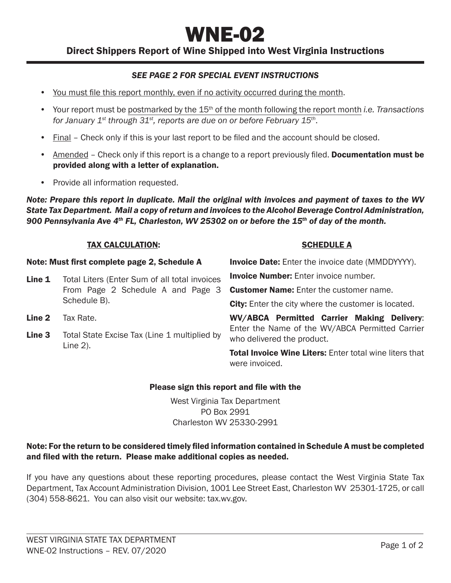# WNE-02

Direct Shippers Report of Wine Shipped into West Virginia Instructions

## *SEE PAGE 2 FOR SPECIAL EVENT INSTRUCTIONS*

- You must file this report monthly, even if no activity occurred during the month.
- Your report must be postmarked by the 15th of the month following the report month *i.e. Transactions for January 1st through 31st, reports are due on or before February 15th*.
- Final Check only if this is your last report to be filed and the account should be closed.
- Amended Check only if this report is a change to a report previously filed. **Documentation must be** provided along with a letter of explanation.
- Provide all information requested.

*Note: Prepare this report in duplicate. Mail the original with invoices and payment of taxes to the WV State Tax Department. Mail a copy of return and invoices to the Alcohol Beverage Control Administration, 900 Pennsylvania Ave 4th FL, Charleston, WV 25302 on or before the 15th of day of the month.*

#### TAX CALCULATION:

#### SCHEDULE A

Note: Must first complete page 2, Schedule A Line 1 Total Liters (Enter Sum of all total invoices From Page 2 Schedule A and Page 3 Schedule B). Line 2 Tax Rate. **Line 3** Total State Excise Tax (Line 1 multiplied by Line 2). **Invoice Date:** Enter the invoice date (MMDDYYYY). **Invoice Number:** Enter invoice number. Customer Name: Enter the customer name. **City:** Enter the city where the customer is located. WV/ABCA Permitted Carrier Making Delivery: Enter the Name of the WV/ABCA Permitted Carrier who delivered the product. **Total Invoice Wine Liters: Enter total wine liters that** were invoiced.

#### Please sign this report and file with the

West Virginia Tax Department PO Box 2991 Charleston WV 25330-2991

#### Note: For the return to be considered timely filed information contained in Schedule A must be completed and filed with the return. Please make additional copies as needed.

If you have any questions about these reporting procedures, please contact the West Virginia State Tax Department, Tax Account Administration Division, 1001 Lee Street East, Charleston WV 25301-1725, or call (304) 558-8621. You can also visit our website: tax.wv.gov.